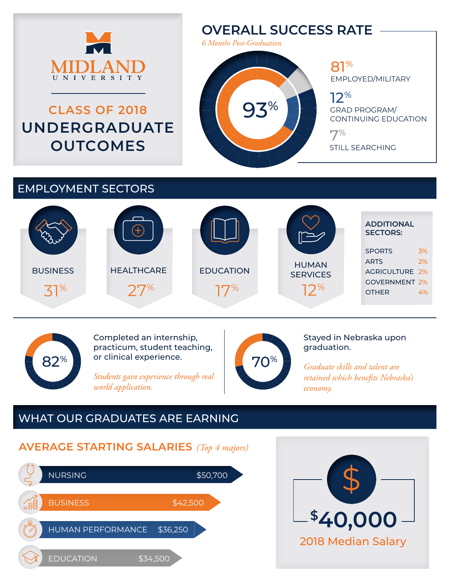

# **CLASS OF 2018 UNDERGRADUATE OUTCOMES**

# **OVERALL SUCCESS RATE**

*6 Months Post-Graduation*

93%

# 81% EMPLOYED/MILITARY

12% GRAD PROGRAM/ CONTINUING EDUCATION

7% STILL SEARCHING

# EMPLOYMENT SECTORS





Completed an internship, practicum, student teaching, or clinical experience.

*Students gain experience through real world application.*



#### Stayed in Nebraska upon graduation.

*Graduate skills and talent are retained which benefits Nebraska's economy.*

# WHAT OUR GRADUATES ARE EARNING

# **AVERAGE STARTING SALARIES** *(Top 4 majors)*